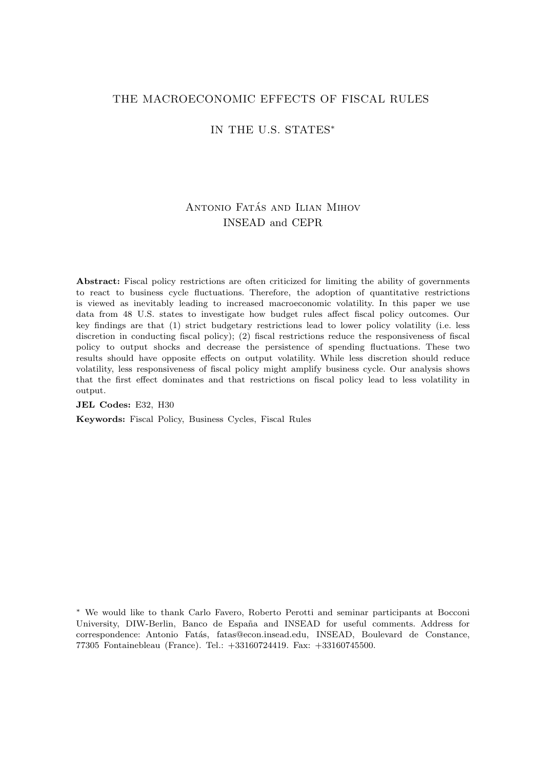### THE MACROECONOMIC EFFECTS OF FISCAL RULES

## IN THE U.S. STATES<sup>∗</sup>

# ANTONIO FATÁS AND ILIAN MIHOV INSEAD and CEPR

Abstract: Fiscal policy restrictions are often criticized for limiting the ability of governments to react to business cycle fluctuations. Therefore, the adoption of quantitative restrictions is viewed as inevitably leading to increased macroeconomic volatility. In this paper we use data from 48 U.S. states to investigate how budget rules affect fiscal policy outcomes. Our key findings are that (1) strict budgetary restrictions lead to lower policy volatility (i.e. less discretion in conducting fiscal policy); (2) fiscal restrictions reduce the responsiveness of fiscal policy to output shocks and decrease the persistence of spending fluctuations. These two results should have opposite effects on output volatility. While less discretion should reduce volatility, less responsiveness of fiscal policy might amplify business cycle. Our analysis shows that the first effect dominates and that restrictions on fiscal policy lead to less volatility in output.

JEL Codes: E32, H30

Keywords: Fiscal Policy, Business Cycles, Fiscal Rules

<sup>∗</sup> We would like to thank Carlo Favero, Roberto Perotti and seminar participants at Bocconi University, DIW-Berlin, Banco de España and INSEAD for useful comments. Address for correspondence: Antonio Fatás, fatas@econ.insead.edu, INSEAD, Boulevard de Constance, 77305 Fontainebleau (France). Tel.: +33160724419. Fax: +33160745500.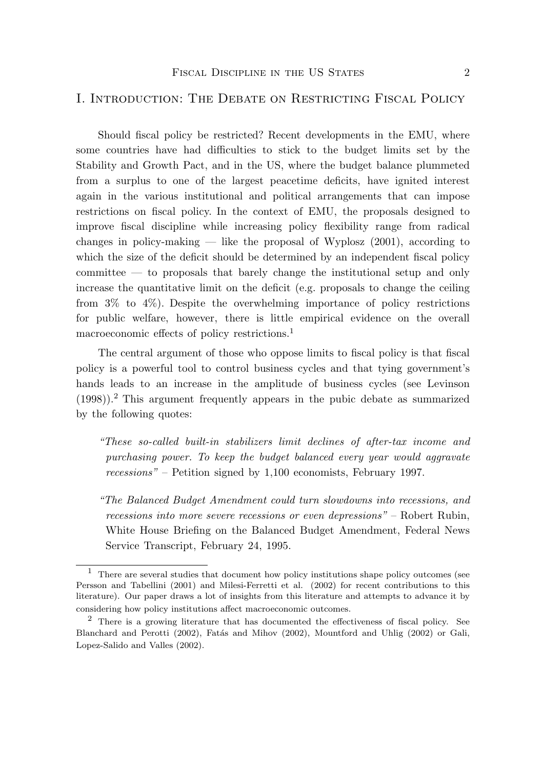## I. Introduction: The Debate on Restricting Fiscal Policy

Should fiscal policy be restricted? Recent developments in the EMU, where some countries have had difficulties to stick to the budget limits set by the Stability and Growth Pact, and in the US, where the budget balance plummeted from a surplus to one of the largest peacetime deficits, have ignited interest again in the various institutional and political arrangements that can impose restrictions on fiscal policy. In the context of EMU, the proposals designed to improve fiscal discipline while increasing policy flexibility range from radical changes in policy-making — like the proposal of Wyplosz  $(2001)$ , according to which the size of the deficit should be determined by an independent fiscal policy committee — to proposals that barely change the institutional setup and only increase the quantitative limit on the deficit (e.g. proposals to change the ceiling from 3% to 4%). Despite the overwhelming importance of policy restrictions for public welfare, however, there is little empirical evidence on the overall macroeconomic effects of policy restrictions.<sup>1</sup>

The central argument of those who oppose limits to fiscal policy is that fiscal policy is a powerful tool to control business cycles and that tying government's hands leads to an increase in the amplitude of business cycles (see Levinson  $(1998)$ ).<sup>2</sup> This argument frequently appears in the pubic debate as summarized by the following quotes:

"These so-called built-in stabilizers limit declines of after-tax income and purchasing power. To keep the budget balanced every year would aggravate recessions" – Petition signed by 1,100 economists, February 1997.

"The Balanced Budget Amendment could turn slowdowns into recessions, and recessions into more severe recessions or even depressions" – Robert Rubin, White House Briefing on the Balanced Budget Amendment, Federal News Service Transcript, February 24, 1995.

 $1$  There are several studies that document how policy institutions shape policy outcomes (see Persson and Tabellini (2001) and Milesi-Ferretti et al. (2002) for recent contributions to this literature). Our paper draws a lot of insights from this literature and attempts to advance it by considering how policy institutions affect macroeconomic outcomes.

<sup>2</sup> There is a growing literature that has documented the effectiveness of fiscal policy. See Blanchard and Perotti (2002), Fatás and Mihov (2002), Mountford and Uhlig (2002) or Gali, Lopez-Salido and Valles (2002).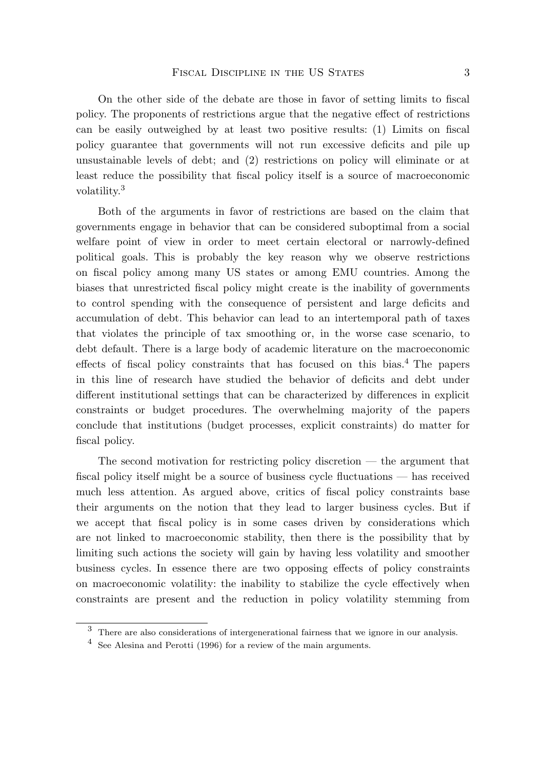On the other side of the debate are those in favor of setting limits to fiscal policy. The proponents of restrictions argue that the negative effect of restrictions can be easily outweighed by at least two positive results: (1) Limits on fiscal policy guarantee that governments will not run excessive deficits and pile up unsustainable levels of debt; and (2) restrictions on policy will eliminate or at least reduce the possibility that fiscal policy itself is a source of macroeconomic volatility.<sup>3</sup>

Both of the arguments in favor of restrictions are based on the claim that governments engage in behavior that can be considered suboptimal from a social welfare point of view in order to meet certain electoral or narrowly-defined political goals. This is probably the key reason why we observe restrictions on fiscal policy among many US states or among EMU countries. Among the biases that unrestricted fiscal policy might create is the inability of governments to control spending with the consequence of persistent and large deficits and accumulation of debt. This behavior can lead to an intertemporal path of taxes that violates the principle of tax smoothing or, in the worse case scenario, to debt default. There is a large body of academic literature on the macroeconomic effects of fiscal policy constraints that has focused on this bias.<sup>4</sup> The papers in this line of research have studied the behavior of deficits and debt under different institutional settings that can be characterized by differences in explicit constraints or budget procedures. The overwhelming majority of the papers conclude that institutions (budget processes, explicit constraints) do matter for fiscal policy.

The second motivation for restricting policy discretion — the argument that fiscal policy itself might be a source of business cycle fluctuations — has received much less attention. As argued above, critics of fiscal policy constraints base their arguments on the notion that they lead to larger business cycles. But if we accept that fiscal policy is in some cases driven by considerations which are not linked to macroeconomic stability, then there is the possibility that by limiting such actions the society will gain by having less volatility and smoother business cycles. In essence there are two opposing effects of policy constraints on macroeconomic volatility: the inability to stabilize the cycle effectively when constraints are present and the reduction in policy volatility stemming from

<sup>3</sup> There are also considerations of intergenerational fairness that we ignore in our analysis.

<sup>4</sup> See Alesina and Perotti (1996) for a review of the main arguments.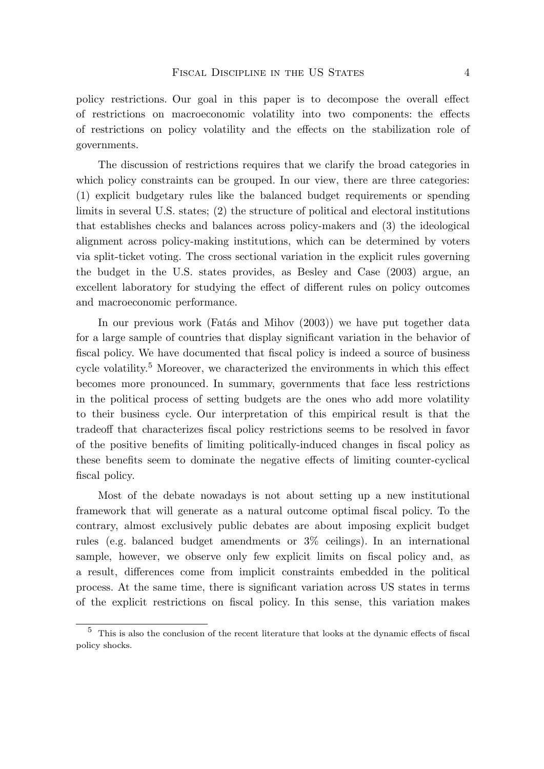policy restrictions. Our goal in this paper is to decompose the overall effect of restrictions on macroeconomic volatility into two components: the effects of restrictions on policy volatility and the effects on the stabilization role of governments.

The discussion of restrictions requires that we clarify the broad categories in which policy constraints can be grouped. In our view, there are three categories: (1) explicit budgetary rules like the balanced budget requirements or spending limits in several U.S. states; (2) the structure of political and electoral institutions that establishes checks and balances across policy-makers and (3) the ideological alignment across policy-making institutions, which can be determined by voters via split-ticket voting. The cross sectional variation in the explicit rules governing the budget in the U.S. states provides, as Besley and Case (2003) argue, an excellent laboratory for studying the effect of different rules on policy outcomes and macroeconomic performance.

In our previous work (Fatas and Mihov  $(2003)$ ) we have put together data for a large sample of countries that display significant variation in the behavior of fiscal policy. We have documented that fiscal policy is indeed a source of business cycle volatility.<sup>5</sup> Moreover, we characterized the environments in which this effect becomes more pronounced. In summary, governments that face less restrictions in the political process of setting budgets are the ones who add more volatility to their business cycle. Our interpretation of this empirical result is that the tradeoff that characterizes fiscal policy restrictions seems to be resolved in favor of the positive benefits of limiting politically-induced changes in fiscal policy as these benefits seem to dominate the negative effects of limiting counter-cyclical fiscal policy.

Most of the debate nowadays is not about setting up a new institutional framework that will generate as a natural outcome optimal fiscal policy. To the contrary, almost exclusively public debates are about imposing explicit budget rules (e.g. balanced budget amendments or 3% ceilings). In an international sample, however, we observe only few explicit limits on fiscal policy and, as a result, differences come from implicit constraints embedded in the political process. At the same time, there is significant variation across US states in terms of the explicit restrictions on fiscal policy. In this sense, this variation makes

 $5$  This is also the conclusion of the recent literature that looks at the dynamic effects of fiscal policy shocks.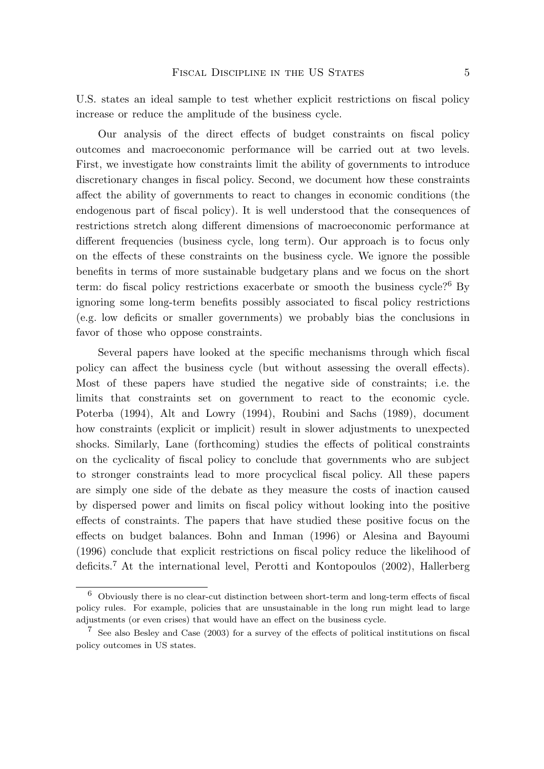U.S. states an ideal sample to test whether explicit restrictions on fiscal policy increase or reduce the amplitude of the business cycle.

Our analysis of the direct effects of budget constraints on fiscal policy outcomes and macroeconomic performance will be carried out at two levels. First, we investigate how constraints limit the ability of governments to introduce discretionary changes in fiscal policy. Second, we document how these constraints affect the ability of governments to react to changes in economic conditions (the endogenous part of fiscal policy). It is well understood that the consequences of restrictions stretch along different dimensions of macroeconomic performance at different frequencies (business cycle, long term). Our approach is to focus only on the effects of these constraints on the business cycle. We ignore the possible benefits in terms of more sustainable budgetary plans and we focus on the short term: do fiscal policy restrictions exacerbate or smooth the business cycle?<sup>6</sup> By ignoring some long-term benefits possibly associated to fiscal policy restrictions (e.g. low deficits or smaller governments) we probably bias the conclusions in favor of those who oppose constraints.

Several papers have looked at the specific mechanisms through which fiscal policy can affect the business cycle (but without assessing the overall effects). Most of these papers have studied the negative side of constraints; i.e. the limits that constraints set on government to react to the economic cycle. Poterba (1994), Alt and Lowry (1994), Roubini and Sachs (1989), document how constraints (explicit or implicit) result in slower adjustments to unexpected shocks. Similarly, Lane (forthcoming) studies the effects of political constraints on the cyclicality of fiscal policy to conclude that governments who are subject to stronger constraints lead to more procyclical fiscal policy. All these papers are simply one side of the debate as they measure the costs of inaction caused by dispersed power and limits on fiscal policy without looking into the positive effects of constraints. The papers that have studied these positive focus on the effects on budget balances. Bohn and Inman (1996) or Alesina and Bayoumi (1996) conclude that explicit restrictions on fiscal policy reduce the likelihood of deficits.<sup>7</sup> At the international level, Perotti and Kontopoulos (2002), Hallerberg

 $6$  Obviously there is no clear-cut distinction between short-term and long-term effects of fiscal policy rules. For example, policies that are unsustainable in the long run might lead to large adjustments (or even crises) that would have an effect on the business cycle.

<sup>7</sup> See also Besley and Case (2003) for a survey of the effects of political institutions on fiscal policy outcomes in US states.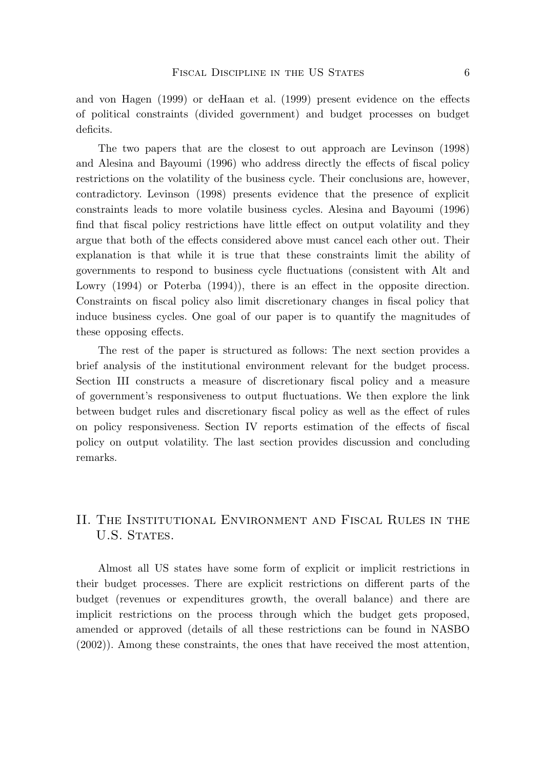and von Hagen (1999) or deHaan et al. (1999) present evidence on the effects of political constraints (divided government) and budget processes on budget deficits.

The two papers that are the closest to out approach are Levinson (1998) and Alesina and Bayoumi (1996) who address directly the effects of fiscal policy restrictions on the volatility of the business cycle. Their conclusions are, however, contradictory. Levinson (1998) presents evidence that the presence of explicit constraints leads to more volatile business cycles. Alesina and Bayoumi (1996) find that fiscal policy restrictions have little effect on output volatility and they argue that both of the effects considered above must cancel each other out. Their explanation is that while it is true that these constraints limit the ability of governments to respond to business cycle fluctuations (consistent with Alt and Lowry (1994) or Poterba (1994)), there is an effect in the opposite direction. Constraints on fiscal policy also limit discretionary changes in fiscal policy that induce business cycles. One goal of our paper is to quantify the magnitudes of these opposing effects.

The rest of the paper is structured as follows: The next section provides a brief analysis of the institutional environment relevant for the budget process. Section III constructs a measure of discretionary fiscal policy and a measure of government's responsiveness to output fluctuations. We then explore the link between budget rules and discretionary fiscal policy as well as the effect of rules on policy responsiveness. Section IV reports estimation of the effects of fiscal policy on output volatility. The last section provides discussion and concluding remarks.

# II. The Institutional Environment and Fiscal Rules in the U.S. STATES.

Almost all US states have some form of explicit or implicit restrictions in their budget processes. There are explicit restrictions on different parts of the budget (revenues or expenditures growth, the overall balance) and there are implicit restrictions on the process through which the budget gets proposed, amended or approved (details of all these restrictions can be found in NASBO (2002)). Among these constraints, the ones that have received the most attention,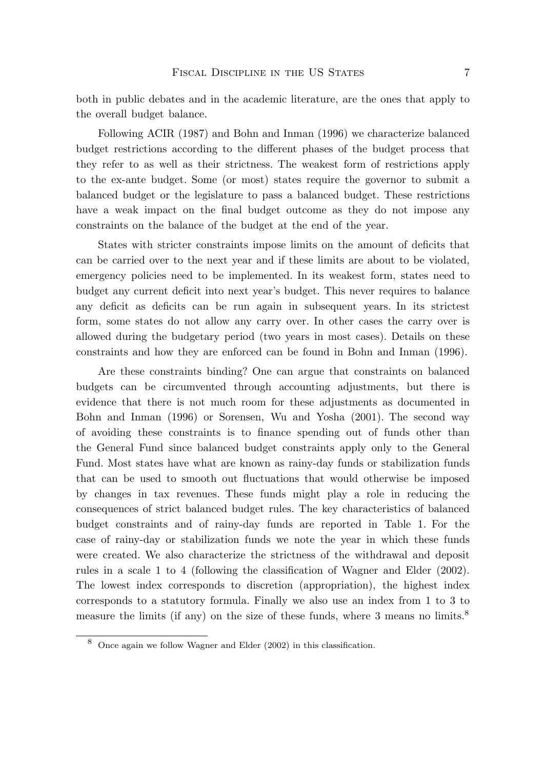both in public debates and in the academic literature, are the ones that apply to the overall budget balance.

Following ACIR (1987) and Bohn and Inman (1996) we characterize balanced budget restrictions according to the different phases of the budget process that they refer to as well as their strictness. The weakest form of restrictions apply to the ex-ante budget. Some (or most) states require the governor to submit a balanced budget or the legislature to pass a balanced budget. These restrictions have a weak impact on the final budget outcome as they do not impose any constraints on the balance of the budget at the end of the year.

States with stricter constraints impose limits on the amount of deficits that can be carried over to the next year and if these limits are about to be violated, emergency policies need to be implemented. In its weakest form, states need to budget any current deficit into next year's budget. This never requires to balance any deficit as deficits can be run again in subsequent years. In its strictest form, some states do not allow any carry over. In other cases the carry over is allowed during the budgetary period (two years in most cases). Details on these constraints and how they are enforced can be found in Bohn and Inman (1996).

Are these constraints binding? One can argue that constraints on balanced budgets can be circumvented through accounting adjustments, but there is evidence that there is not much room for these adjustments as documented in Bohn and Inman (1996) or Sorensen, Wu and Yosha (2001). The second way of avoiding these constraints is to finance spending out of funds other than the General Fund since balanced budget constraints apply only to the General Fund. Most states have what are known as rainy-day funds or stabilization funds that can be used to smooth out fluctuations that would otherwise be imposed by changes in tax revenues. These funds might play a role in reducing the consequences of strict balanced budget rules. The key characteristics of balanced budget constraints and of rainy-day funds are reported in Table 1. For the case of rainy-day or stabilization funds we note the year in which these funds were created. We also characterize the strictness of the withdrawal and deposit rules in a scale 1 to 4 (following the classification of Wagner and Elder (2002). The lowest index corresponds to discretion (appropriation), the highest index corresponds to a statutory formula. Finally we also use an index from 1 to 3 to measure the limits (if any) on the size of these funds, where 3 means no limits.<sup>8</sup>

<sup>8</sup> Once again we follow Wagner and Elder (2002) in this classification.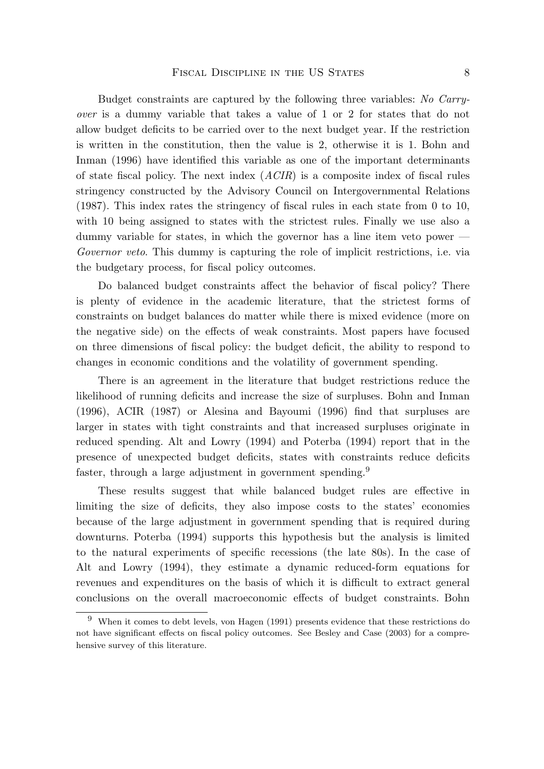Budget constraints are captured by the following three variables: No Carryover is a dummy variable that takes a value of 1 or 2 for states that do not allow budget deficits to be carried over to the next budget year. If the restriction is written in the constitution, then the value is 2, otherwise it is 1. Bohn and Inman (1996) have identified this variable as one of the important determinants of state fiscal policy. The next index (ACIR) is a composite index of fiscal rules stringency constructed by the Advisory Council on Intergovernmental Relations (1987). This index rates the stringency of fiscal rules in each state from 0 to 10, with 10 being assigned to states with the strictest rules. Finally we use also a dummy variable for states, in which the governor has a line item veto power — Governor veto. This dummy is capturing the role of implicit restrictions, i.e. via the budgetary process, for fiscal policy outcomes.

Do balanced budget constraints affect the behavior of fiscal policy? There is plenty of evidence in the academic literature, that the strictest forms of constraints on budget balances do matter while there is mixed evidence (more on the negative side) on the effects of weak constraints. Most papers have focused on three dimensions of fiscal policy: the budget deficit, the ability to respond to changes in economic conditions and the volatility of government spending.

There is an agreement in the literature that budget restrictions reduce the likelihood of running deficits and increase the size of surpluses. Bohn and Inman (1996), ACIR (1987) or Alesina and Bayoumi (1996) find that surpluses are larger in states with tight constraints and that increased surpluses originate in reduced spending. Alt and Lowry (1994) and Poterba (1994) report that in the presence of unexpected budget deficits, states with constraints reduce deficits faster, through a large adjustment in government spending.<sup>9</sup>

These results suggest that while balanced budget rules are effective in limiting the size of deficits, they also impose costs to the states' economies because of the large adjustment in government spending that is required during downturns. Poterba (1994) supports this hypothesis but the analysis is limited to the natural experiments of specific recessions (the late 80s). In the case of Alt and Lowry (1994), they estimate a dynamic reduced-form equations for revenues and expenditures on the basis of which it is difficult to extract general conclusions on the overall macroeconomic effects of budget constraints. Bohn

 $9$  When it comes to debt levels, von Hagen (1991) presents evidence that these restrictions do not have significant effects on fiscal policy outcomes. See Besley and Case (2003) for a comprehensive survey of this literature.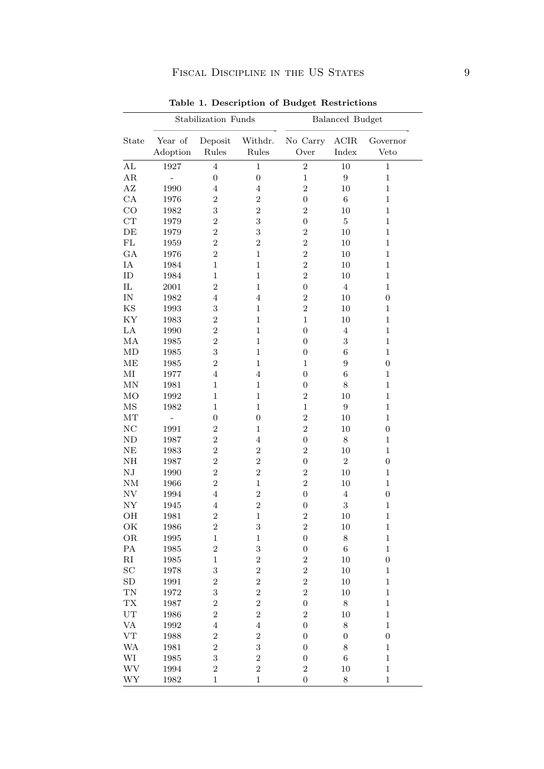|                |                     | Stabilization Funds |                         | Balanced Budget         |                                |                  |  |
|----------------|---------------------|---------------------|-------------------------|-------------------------|--------------------------------|------------------|--|
| State          | Year of<br>Adoption | Deposit<br>Rules    | Withdr.<br>Rules        | No Carry<br>Over        | $\operatorname{ACIR}$<br>Index | Governor<br>Veto |  |
| AL             | 1927                | $\overline{4}$      | $\mathbf{1}$            | $\sqrt{2}$              | 10                             | $\mathbf{1}$     |  |
| AR             |                     | $\overline{0}$      | $\boldsymbol{0}$        | $\mathbf{1}$            | $\boldsymbol{9}$               | $\mathbf{1}$     |  |
| $\mathbf{AZ}$  | 1990                | $\overline{4}$      | $\overline{4}$          | $\overline{2}$          | 10                             | $\mathbf{1}$     |  |
| CA             | 1976                | $\overline{2}$      | $\overline{2}$          | $\boldsymbol{0}$        | $\,6$                          | $\mathbf{1}$     |  |
| CO             | 1982                | 3                   | $\overline{2}$          | $\overline{2}$          | 10                             | $\,1$            |  |
| CT             | 1979                | $\overline{2}$      | 3                       | $\boldsymbol{0}$        | $\bf 5$                        | $\mathbf{1}$     |  |
| DE             | 1979                | $\overline{2}$      | 3                       | $\sqrt{2}$              | 10                             | $\,1$            |  |
| FL             | 1959                | $\overline{2}$      | $\overline{2}$          | $\sqrt{2}$              | 10                             | $\,1$            |  |
| GA             | 1976                | $\overline{2}$      | $\mathbf{1}$            | $\overline{2}$          | 10                             | $\mathbf{1}$     |  |
| ΙA             | 1984                | $\mathbf{1}$        | $\mathbf{1}$            | $\overline{2}$          | 10                             | $\mathbf{1}$     |  |
| ID             | 1984                | $\mathbf{1}$        | $\mathbf{1}$            | $\overline{2}$          | 10                             | $\,1$            |  |
| IL             | 2001                | $\overline{2}$      | $\mathbf{1}$            | $\boldsymbol{0}$        | $\overline{4}$                 | $\mathbf{1}$     |  |
| IN             | 1982                | $\overline{4}$      | $\overline{4}$          | $\overline{2}$          | 10                             | $\boldsymbol{0}$ |  |
| KS             | 1993                | 3                   | $\mathbf{1}$            | $\overline{2}$          | 10                             | 1                |  |
| ΚY             | 1983                | $\overline{2}$      | $\mathbf{1}$            | $\mathbf{1}$            | 10                             | $\,1$            |  |
| LA             | 1990                | $\overline{2}$      | $\mathbf{1}$            | $\boldsymbol{0}$        | $\overline{4}$                 | $\,1$            |  |
| МA             | 1985                | $\overline{2}$      | $\mathbf{1}$            | $\overline{0}$          | 3                              | $\,1$            |  |
| MD             | 1985                | 3                   | $\mathbf{1}$            | $\boldsymbol{0}$        | $\,6$                          | $\mathbf{1}$     |  |
| ME             | 1985                | $\overline{2}$      | $\mathbf{1}$            | 1                       | $\boldsymbol{9}$               | $\boldsymbol{0}$ |  |
| $\rm MI$       | 1977                | $\overline{4}$      | $\overline{4}$          | $\boldsymbol{0}$        | $\,6$                          | $\mathbf 1$      |  |
| MN             | 1981                | 1                   | $\mathbf{1}$            | $\boldsymbol{0}$        | $8\,$                          | $\mathbf{1}$     |  |
| <b>MO</b>      | 1992                | 1                   | $\mathbf{1}$            | $\boldsymbol{2}$        | 10                             | $\mathbf{1}$     |  |
| MS             | 1982                | 1                   | $\mathbf{1}$            | $\mathbf 1$             | $\boldsymbol{9}$               | $\mathbf{1}$     |  |
| MT             |                     | $\boldsymbol{0}$    | $\boldsymbol{0}$        | $\overline{2}$          | 10                             | $\mathbf{1}$     |  |
| NC             | 1991                | $\overline{2}$      | $\mathbf{1}$            | $\sqrt{2}$              | 10                             | $\boldsymbol{0}$ |  |
| ND             | 1987                | $\overline{2}$      | $\overline{4}$          | $\boldsymbol{0}$        | $8\,$                          | 1                |  |
| NE             | 1983                | $\overline{2}$      | $\overline{2}$          | $\overline{2}$          | 10                             | $\mathbf{1}$     |  |
| NΗ             | 1987                | $\overline{2}$      | $\overline{2}$          | $\boldsymbol{0}$        | $\,2$                          | $\boldsymbol{0}$ |  |
| NJ             | 1990                | $\overline{2}$      | $\overline{2}$          | $\overline{2}$          | 10                             | 1                |  |
| N <sub>M</sub> | 1966                | $\overline{2}$      | $\mathbf{1}$            | $\overline{2}$          | 10                             | 1                |  |
| N <sub>V</sub> | 1994                | $\overline{4}$      | $\overline{2}$          | $\boldsymbol{0}$        | $\overline{4}$                 | $\boldsymbol{0}$ |  |
| NY             | 1945                | 4                   | $\overline{2}$          | $\boldsymbol{0}$        | $\,3$                          | $\mathbf 1$      |  |
| OH             | 1981                | $\overline{2}$      | $\mathbf{1}$            | $\overline{2}$          | 10                             | $\mathbf{1}$     |  |
| ОK             | 1986                | $\overline{c}$      | 3                       | $\boldsymbol{2}$        | 10                             | 1                |  |
| OR             | 1995                | $\mathbf 1$         | $\,1$                   | $\boldsymbol{0}$        | $\,$ $\,$                      | $\mathbf 1$      |  |
| PA             | 1985                | $\overline{2}$      | 3                       | $\boldsymbol{0}$        | $\,6$                          | $\mathbf 1$      |  |
| $\rm RI$       | 1985                | $\,1$               | $\overline{2}$          | $\overline{\mathbf{c}}$ | 10                             | $\boldsymbol{0}$ |  |
| SC             | 1978                | 3                   | $\overline{2}$          | $\overline{2}$          | 10                             | $\,1$            |  |
| SD             | 1991                | $\overline{c}$      | $\overline{2}$          | $\overline{2}$          | 10                             | $\mathbf 1$      |  |
| TN             | $1972\,$            | 3                   | $\overline{2}$          | $\overline{2}$          | 10                             | $\mathbf 1$      |  |
| <b>TX</b>      | 1987                | $\overline{2}$      | $\overline{2}$          | $\boldsymbol{0}$        | $8\,$                          | $\mathbf 1$      |  |
| UT             | 1986                | $\overline{2}$      | $\overline{2}$          | $\boldsymbol{2}$        | 10                             | $\mathbf 1$      |  |
| VA             | 1992                | $\overline{4}$      | $\overline{\mathbf{4}}$ | $\boldsymbol{0}$        | $\,8\,$                        | $\,1$            |  |
| <b>VT</b>      | 1988                | $\overline{c}$      | $\boldsymbol{2}$        | $\boldsymbol{0}$        | $\boldsymbol{0}$               | $\boldsymbol{0}$ |  |
| WA             | 1981                | $\overline{2}$      | 3                       | $\boldsymbol{0}$        | 8                              | $\,1$            |  |
| WI             | 1985                | 3                   | $\overline{\mathbf{c}}$ | $\boldsymbol{0}$        | $\,6$                          | $\mathbf 1$      |  |
| <b>WV</b>      | 1994                | $\overline{2}$      | $\overline{2}$          | $\,2$                   | 10                             | $\,1$            |  |
| WY             | 1982                | $\,1$               | $\mathbf{1}$            | $\overline{0}$          | $\,$ $\,$                      | $\mathbf 1$      |  |

Table 1. Description of Budget Restrictions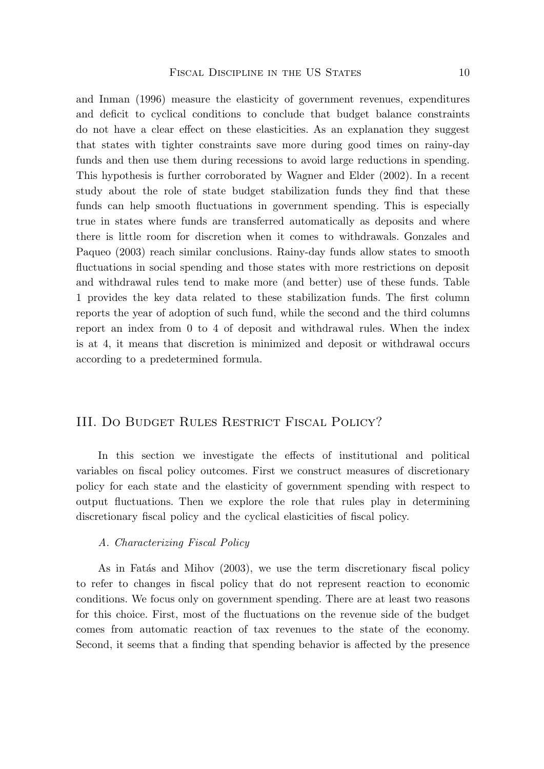and Inman (1996) measure the elasticity of government revenues, expenditures and deficit to cyclical conditions to conclude that budget balance constraints do not have a clear effect on these elasticities. As an explanation they suggest that states with tighter constraints save more during good times on rainy-day funds and then use them during recessions to avoid large reductions in spending. This hypothesis is further corroborated by Wagner and Elder (2002). In a recent study about the role of state budget stabilization funds they find that these funds can help smooth fluctuations in government spending. This is especially true in states where funds are transferred automatically as deposits and where there is little room for discretion when it comes to withdrawals. Gonzales and Paqueo (2003) reach similar conclusions. Rainy-day funds allow states to smooth fluctuations in social spending and those states with more restrictions on deposit and withdrawal rules tend to make more (and better) use of these funds. Table 1 provides the key data related to these stabilization funds. The first column reports the year of adoption of such fund, while the second and the third columns report an index from 0 to 4 of deposit and withdrawal rules. When the index is at 4, it means that discretion is minimized and deposit or withdrawal occurs according to a predetermined formula.

## III. Do Budget Rules Restrict Fiscal Policy?

In this section we investigate the effects of institutional and political variables on fiscal policy outcomes. First we construct measures of discretionary policy for each state and the elasticity of government spending with respect to output fluctuations. Then we explore the role that rules play in determining discretionary fiscal policy and the cyclical elasticities of fiscal policy.

#### A. Characterizing Fiscal Policy

As in Fatás and Mihov  $(2003)$ , we use the term discretionary fiscal policy to refer to changes in fiscal policy that do not represent reaction to economic conditions. We focus only on government spending. There are at least two reasons for this choice. First, most of the fluctuations on the revenue side of the budget comes from automatic reaction of tax revenues to the state of the economy. Second, it seems that a finding that spending behavior is affected by the presence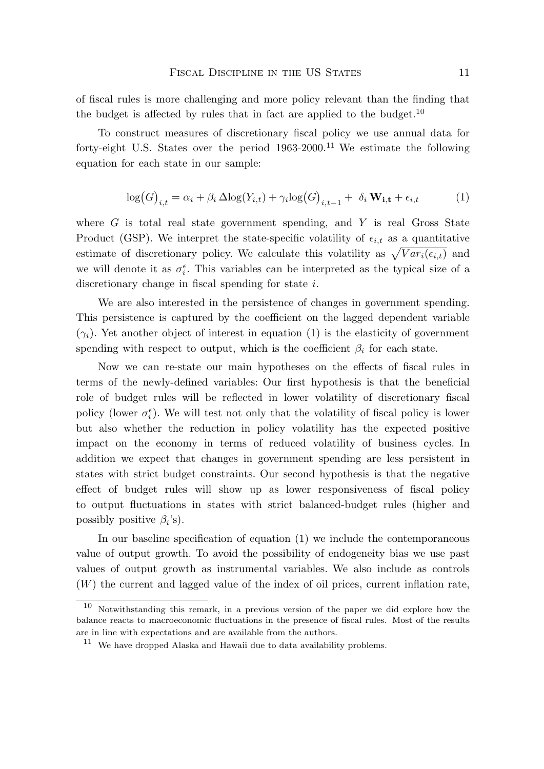of fiscal rules is more challenging and more policy relevant than the finding that the budget is affected by rules that in fact are applied to the budget.<sup>10</sup>

To construct measures of discretionary fiscal policy we use annual data for forty-eight U.S. States over the period  $1963-2000$ .<sup>11</sup> We estimate the following equation for each state in our sample:

$$
\log(G)_{i,t} = \alpha_i + \beta_i \, \Delta \log(Y_{i,t}) + \gamma_i \log(G)_{i,t-1} + \delta_i \, \mathbf{W_{i,t}} + \epsilon_{i,t} \tag{1}
$$

where  $G$  is total real state government spending, and  $Y$  is real Gross State Product (GSP). We interpret the state-specific volatility of  $\epsilon_{i,t}$  as a quantitative estimate of discretionary policy. We calculate this volatility as  $\sqrt{Var_i(\epsilon_{i,t})}$  and we will denote it as  $\sigma_i^{\epsilon}$ . This variables can be interpreted as the typical size of a discretionary change in fiscal spending for state i.

We are also interested in the persistence of changes in government spending. This persistence is captured by the coefficient on the lagged dependent variable  $(\gamma_i)$ . Yet another object of interest in equation (1) is the elasticity of government spending with respect to output, which is the coefficient  $\beta_i$  for each state.

Now we can re-state our main hypotheses on the effects of fiscal rules in terms of the newly-defined variables: Our first hypothesis is that the beneficial role of budget rules will be reflected in lower volatility of discretionary fiscal policy (lower  $\sigma_i^{\epsilon}$ ). We will test not only that the volatility of fiscal policy is lower but also whether the reduction in policy volatility has the expected positive impact on the economy in terms of reduced volatility of business cycles. In addition we expect that changes in government spending are less persistent in states with strict budget constraints. Our second hypothesis is that the negative effect of budget rules will show up as lower responsiveness of fiscal policy to output fluctuations in states with strict balanced-budget rules (higher and possibly positive  $\beta_i$ 's).

In our baseline specification of equation (1) we include the contemporaneous value of output growth. To avoid the possibility of endogeneity bias we use past values of output growth as instrumental variables. We also include as controls  $(W)$  the current and lagged value of the index of oil prices, current inflation rate,

 $\overline{10}$  Notwithstanding this remark, in a previous version of the paper we did explore how the balance reacts to macroeconomic fluctuations in the presence of fiscal rules. Most of the results are in line with expectations and are available from the authors.

<sup>11</sup> We have dropped Alaska and Hawaii due to data availability problems.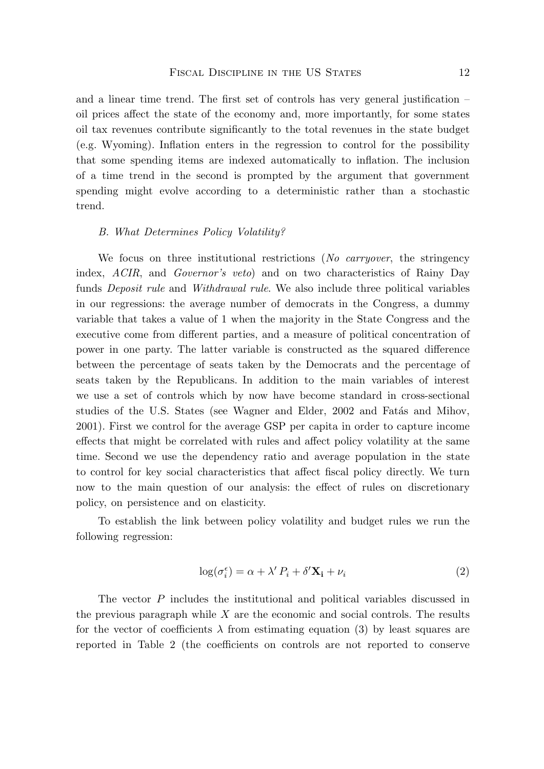and a linear time trend. The first set of controls has very general justification – oil prices affect the state of the economy and, more importantly, for some states oil tax revenues contribute significantly to the total revenues in the state budget (e.g. Wyoming). Inflation enters in the regression to control for the possibility that some spending items are indexed automatically to inflation. The inclusion of a time trend in the second is prompted by the argument that government spending might evolve according to a deterministic rather than a stochastic trend.

#### B. What Determines Policy Volatility?

We focus on three institutional restrictions (No carryover, the stringency index, ACIR, and Governor's veto) and on two characteristics of Rainy Day funds *Deposit rule* and *Withdrawal rule*. We also include three political variables in our regressions: the average number of democrats in the Congress, a dummy variable that takes a value of 1 when the majority in the State Congress and the executive come from different parties, and a measure of political concentration of power in one party. The latter variable is constructed as the squared difference between the percentage of seats taken by the Democrats and the percentage of seats taken by the Republicans. In addition to the main variables of interest we use a set of controls which by now have become standard in cross-sectional studies of the U.S. States (see Wagner and Elder, 2002 and Fatas and Mihov, 2001). First we control for the average GSP per capita in order to capture income effects that might be correlated with rules and affect policy volatility at the same time. Second we use the dependency ratio and average population in the state to control for key social characteristics that affect fiscal policy directly. We turn now to the main question of our analysis: the effect of rules on discretionary policy, on persistence and on elasticity.

To establish the link between policy volatility and budget rules we run the following regression:

$$
\log(\sigma_i^{\epsilon}) = \alpha + \lambda' P_i + \delta' \mathbf{X_i} + \nu_i
$$
\n(2)

The vector P includes the institutional and political variables discussed in the previous paragraph while  $X$  are the economic and social controls. The results for the vector of coefficients  $\lambda$  from estimating equation (3) by least squares are reported in Table 2 (the coefficients on controls are not reported to conserve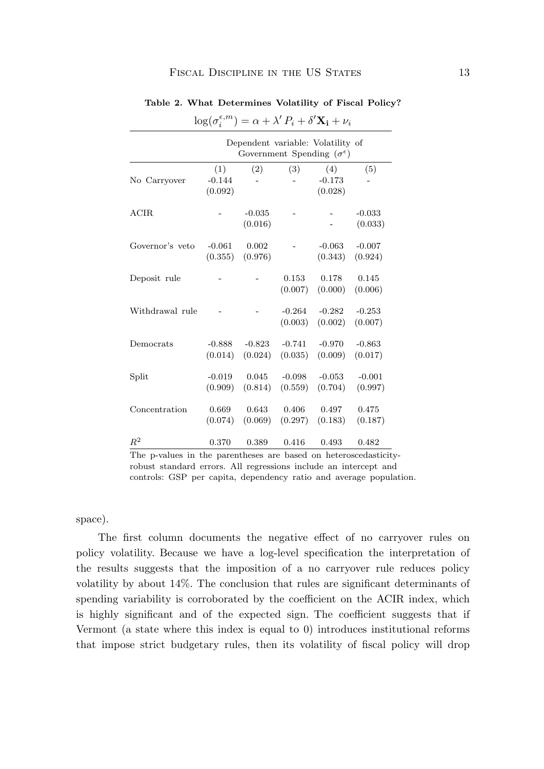| $\log(\sigma_i^{\epsilon,m}) = \alpha + \lambda' P_i + \delta' \mathbf{X_i} + \nu_i$ |                            |                     |                     |                            |                     |  |  |  |
|--------------------------------------------------------------------------------------|----------------------------|---------------------|---------------------|----------------------------|---------------------|--|--|--|
| Dependent variable: Volatility of<br>Government Spending $(\sigma^{\epsilon})$       |                            |                     |                     |                            |                     |  |  |  |
| No Carryover                                                                         | (1)<br>$-0.144$<br>(0.092) | (2)                 | (3)                 | (4)<br>$-0.173$<br>(0.028) | (5)                 |  |  |  |
| ACIR                                                                                 |                            | $-0.035$<br>(0.016) |                     |                            | $-0.033$<br>(0.033) |  |  |  |
| Governor's veto                                                                      | $-0.061$<br>(0.355)        | 0.002<br>(0.976)    |                     | $-0.063$<br>(0.343)        | $-0.007$<br>(0.924) |  |  |  |
| Deposit rule                                                                         |                            |                     | 0.153<br>(0.007)    | 0.178<br>(0.000)           | 0.145<br>(0.006)    |  |  |  |
| Withdrawal rule                                                                      |                            |                     | $-0.264$<br>(0.003) | $-0.282$<br>(0.002)        | $-0.253$<br>(0.007) |  |  |  |
| $D$ emocrats                                                                         | $-0.888$<br>(0.014)        | $-0.823$<br>(0.024) | $-0.741$<br>(0.035) | $-0.970$<br>(0.009)        | $-0.863$<br>(0.017) |  |  |  |
| $S$ plit                                                                             | $-0.019$<br>(0.909)        | 0.045<br>(0.814)    | $-0.098$<br>(0.559) | $-0.053$<br>(0.704)        | $-0.001$<br>(0.997) |  |  |  |
| Concentration                                                                        | 0.669<br>(0.074)           | 0.643<br>(0.069)    | 0.406<br>(0.297)    | 0.497<br>(0.183)           | 0.475<br>(0.187)    |  |  |  |
| $R^2$                                                                                | 0.370                      | 0.389               | 0.416               | 0.493                      | 0.482               |  |  |  |

Table 2. What Determines Volatility of Fiscal Policy?

The p-values in the parentheses are based on heteroscedasticityrobust standard errors. All regressions include an intercept and controls: GSP per capita, dependency ratio and average population.

### space).

The first column documents the negative effect of no carryover rules on policy volatility. Because we have a log-level specification the interpretation of the results suggests that the imposition of a no carryover rule reduces policy volatility by about 14%. The conclusion that rules are significant determinants of spending variability is corroborated by the coefficient on the ACIR index, which is highly significant and of the expected sign. The coefficient suggests that if Vermont (a state where this index is equal to 0) introduces institutional reforms that impose strict budgetary rules, then its volatility of fiscal policy will drop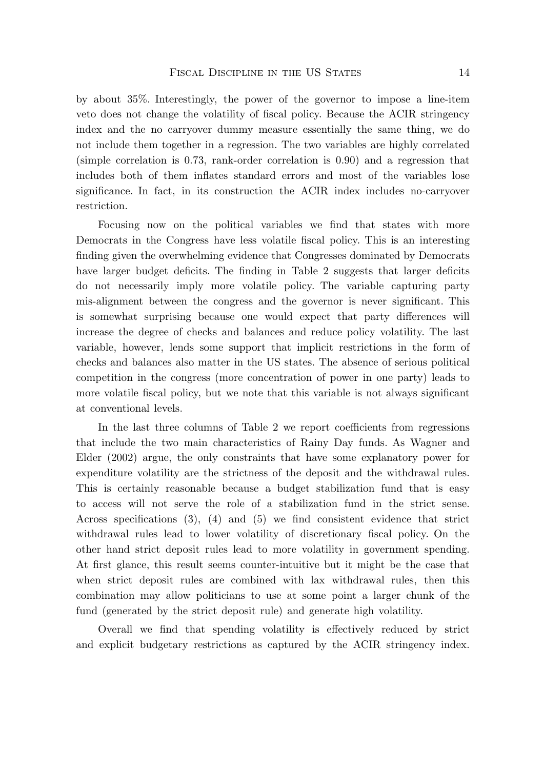by about 35%. Interestingly, the power of the governor to impose a line-item veto does not change the volatility of fiscal policy. Because the ACIR stringency index and the no carryover dummy measure essentially the same thing, we do not include them together in a regression. The two variables are highly correlated (simple correlation is 0.73, rank-order correlation is 0.90) and a regression that includes both of them inflates standard errors and most of the variables lose significance. In fact, in its construction the ACIR index includes no-carryover restriction.

Focusing now on the political variables we find that states with more Democrats in the Congress have less volatile fiscal policy. This is an interesting finding given the overwhelming evidence that Congresses dominated by Democrats have larger budget deficits. The finding in Table 2 suggests that larger deficits do not necessarily imply more volatile policy. The variable capturing party mis-alignment between the congress and the governor is never significant. This is somewhat surprising because one would expect that party differences will increase the degree of checks and balances and reduce policy volatility. The last variable, however, lends some support that implicit restrictions in the form of checks and balances also matter in the US states. The absence of serious political competition in the congress (more concentration of power in one party) leads to more volatile fiscal policy, but we note that this variable is not always significant at conventional levels.

In the last three columns of Table 2 we report coefficients from regressions that include the two main characteristics of Rainy Day funds. As Wagner and Elder (2002) argue, the only constraints that have some explanatory power for expenditure volatility are the strictness of the deposit and the withdrawal rules. This is certainly reasonable because a budget stabilization fund that is easy to access will not serve the role of a stabilization fund in the strict sense. Across specifications (3), (4) and (5) we find consistent evidence that strict withdrawal rules lead to lower volatility of discretionary fiscal policy. On the other hand strict deposit rules lead to more volatility in government spending. At first glance, this result seems counter-intuitive but it might be the case that when strict deposit rules are combined with lax withdrawal rules, then this combination may allow politicians to use at some point a larger chunk of the fund (generated by the strict deposit rule) and generate high volatility.

Overall we find that spending volatility is effectively reduced by strict and explicit budgetary restrictions as captured by the ACIR stringency index.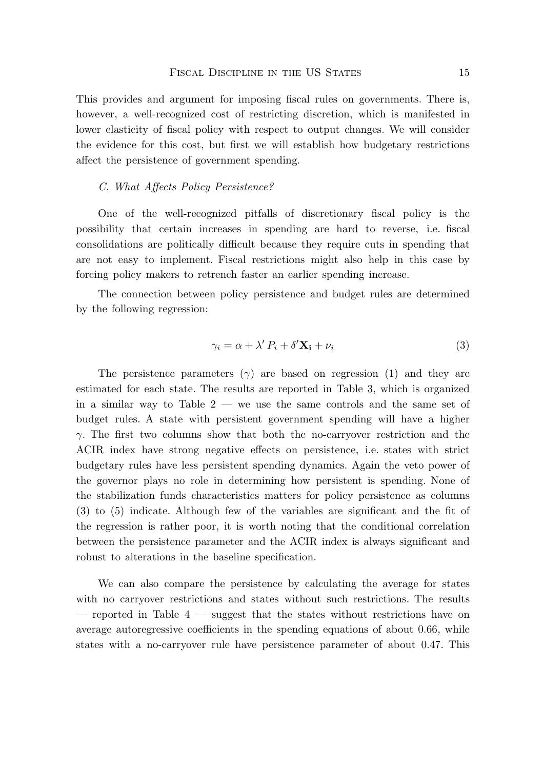This provides and argument for imposing fiscal rules on governments. There is, however, a well-recognized cost of restricting discretion, which is manifested in lower elasticity of fiscal policy with respect to output changes. We will consider the evidence for this cost, but first we will establish how budgetary restrictions affect the persistence of government spending.

### C. What Affects Policy Persistence?

One of the well-recognized pitfalls of discretionary fiscal policy is the possibility that certain increases in spending are hard to reverse, i.e. fiscal consolidations are politically difficult because they require cuts in spending that are not easy to implement. Fiscal restrictions might also help in this case by forcing policy makers to retrench faster an earlier spending increase.

The connection between policy persistence and budget rules are determined by the following regression:

$$
\gamma_i = \alpha + \lambda' P_i + \delta' \mathbf{X_i} + \nu_i \tag{3}
$$

The persistence parameters  $(\gamma)$  are based on regression (1) and they are estimated for each state. The results are reported in Table 3, which is organized in a similar way to Table  $2$  — we use the same controls and the same set of budget rules. A state with persistent government spending will have a higher  $\gamma$ . The first two columns show that both the no-carryover restriction and the ACIR index have strong negative effects on persistence, i.e. states with strict budgetary rules have less persistent spending dynamics. Again the veto power of the governor plays no role in determining how persistent is spending. None of the stabilization funds characteristics matters for policy persistence as columns (3) to (5) indicate. Although few of the variables are significant and the fit of the regression is rather poor, it is worth noting that the conditional correlation between the persistence parameter and the ACIR index is always significant and robust to alterations in the baseline specification.

We can also compare the persistence by calculating the average for states with no carryover restrictions and states without such restrictions. The results — reported in Table  $4$  — suggest that the states without restrictions have on average autoregressive coefficients in the spending equations of about 0.66, while states with a no-carryover rule have persistence parameter of about 0.47. This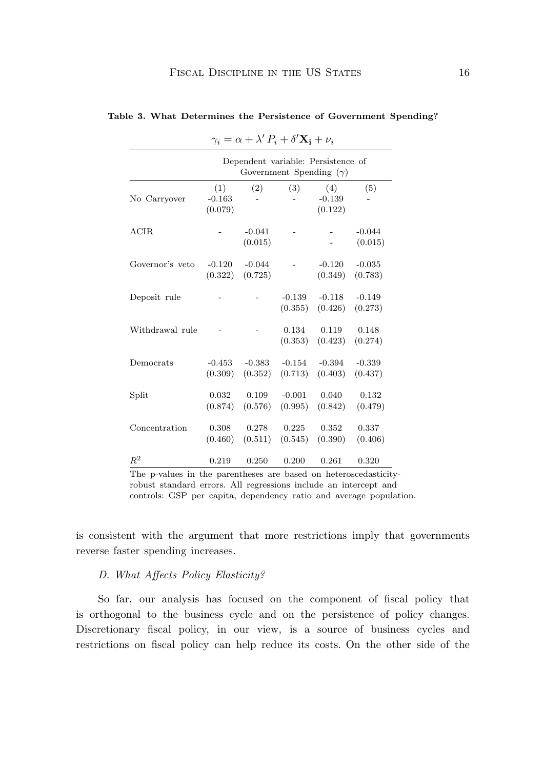| $\gamma_i = \alpha + \lambda' P_i + \delta' \mathbf{X_i} + \nu_i$    |                            |                     |                     |                            |                     |  |  |  |
|----------------------------------------------------------------------|----------------------------|---------------------|---------------------|----------------------------|---------------------|--|--|--|
| Dependent variable: Persistence of<br>Government Spending $(\gamma)$ |                            |                     |                     |                            |                     |  |  |  |
| No Carryover                                                         | (1)<br>$-0.163$<br>(0.079) | (2)                 | (3)                 | (4)<br>$-0.139$<br>(0.122) | (5)                 |  |  |  |
| <b>ACIR</b>                                                          |                            | $-0.041$<br>(0.015) |                     |                            | $-0.044$<br>(0.015) |  |  |  |
| Governor's veto                                                      | $-0.120$<br>(0.322)        | $-0.044$<br>(0.725) |                     | $-0.120$<br>(0.349)        | $-0.035$<br>(0.783) |  |  |  |
| Deposit rule                                                         |                            |                     | $-0.139$<br>(0.355) | $-0.118$<br>(0.426)        | $-0.149$<br>(0.273) |  |  |  |
| Withdrawal rule                                                      |                            |                     | 0.134<br>(0.353)    | 0.119<br>(0.423)           | 0.148<br>(0.274)    |  |  |  |
| Democrats                                                            | $-0.453$<br>(0.309)        | $-0.383$<br>(0.352) | $-0.154$<br>(0.713) | $-0.394$<br>(0.403)        | $-0.339$<br>(0.437) |  |  |  |
| Split                                                                | 0.032<br>(0.874)           | 0.109<br>(0.576)    | $-0.001$<br>(0.995) | 0.040<br>(0.842)           | 0.132<br>(0.479)    |  |  |  |
| Concentration                                                        | 0.308<br>(0.460)           | 0.278<br>(0.511)    | 0.225<br>(0.545)    | 0.352<br>(0.390)           | 0.337<br>(0.406)    |  |  |  |
| $R^2$                                                                | 0.219                      | 0.250               | 0.200               | 0.261                      | 0.320               |  |  |  |

Table 3. What Determines the Persistence of Government Spending?

The p-values in the parentheses are based on heteroscedasticityrobust standard errors. All regressions include an intercept and controls: GSP per capita, dependency ratio and average population.

is consistent with the argument that more restrictions imply that governments reverse faster spending increases.

### D. What Affects Policy Elasticity?

So far, our analysis has focused on the component of fiscal policy that is orthogonal to the business cycle and on the persistence of policy changes. Discretionary fiscal policy, in our view, is a source of business cycles and restrictions on fiscal policy can help reduce its costs. On the other side of the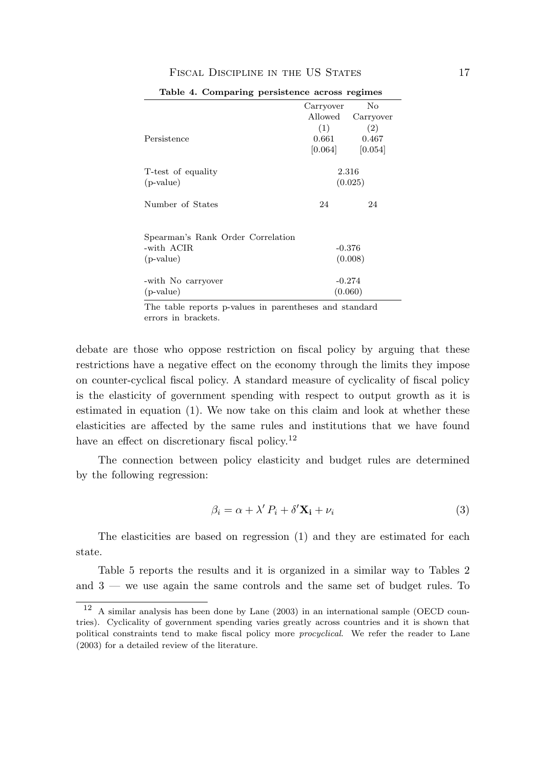|                                   | Carryover | No        |  |  |
|-----------------------------------|-----------|-----------|--|--|
|                                   | Allowed   | Carryover |  |  |
|                                   | (1)       | (2)       |  |  |
| Persistence                       | 0.661     | 0.467     |  |  |
|                                   | [0.064]   | [0.054]   |  |  |
| T-test of equality                |           | 2.316     |  |  |
| (p-value)                         | (0.025)   |           |  |  |
| Number of States                  | 24        | 24        |  |  |
| Spearman's Rank Order Correlation |           |           |  |  |
| -with ACIR                        |           | $-0.376$  |  |  |
| (p-value)                         |           | (0.008)   |  |  |
| -with No carryover                |           | $-0.274$  |  |  |
| (p-value)                         |           | (0.060)   |  |  |

Table 4. Comparing persistence across regimes

The table reports p-values in parentheses and standard errors in brackets.

debate are those who oppose restriction on fiscal policy by arguing that these restrictions have a negative effect on the economy through the limits they impose on counter-cyclical fiscal policy. A standard measure of cyclicality of fiscal policy is the elasticity of government spending with respect to output growth as it is estimated in equation (1). We now take on this claim and look at whether these elasticities are affected by the same rules and institutions that we have found have an effect on discretionary fiscal policy.<sup>12</sup>

The connection between policy elasticity and budget rules are determined by the following regression:

$$
\beta_i = \alpha + \lambda' P_i + \delta' \mathbf{X_i} + \nu_i \tag{3}
$$

The elasticities are based on regression (1) and they are estimated for each state.

Table 5 reports the results and it is organized in a similar way to Tables 2 and 3 — we use again the same controls and the same set of budget rules. To

<sup>12</sup> A similar analysis has been done by Lane (2003) in an international sample (OECD countries). Cyclicality of government spending varies greatly across countries and it is shown that political constraints tend to make fiscal policy more *procyclical*. We refer the reader to Lane (2003) for a detailed review of the literature.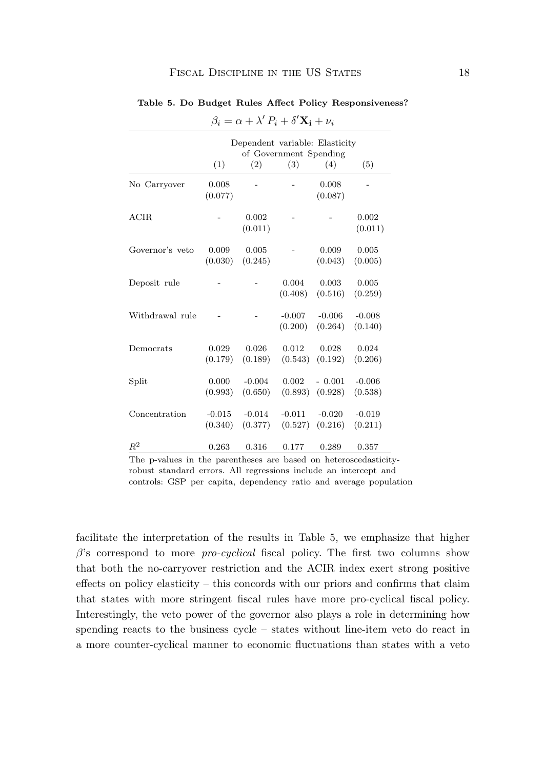| $\beta_i = \alpha + \lambda' P_i + \delta' \mathbf{X_i} + \nu_i$ |                                                          |                     |                        |                     |                     |  |  |  |
|------------------------------------------------------------------|----------------------------------------------------------|---------------------|------------------------|---------------------|---------------------|--|--|--|
|                                                                  | Dependent variable: Elasticity<br>of Government Spending |                     |                        |                     |                     |  |  |  |
|                                                                  | (1)                                                      | (2)                 | (3)                    | (4)                 | (5)                 |  |  |  |
| No Carryover                                                     | 0.008<br>(0.077)                                         |                     |                        | 0.008<br>(0.087)    |                     |  |  |  |
| <b>ACIR</b>                                                      |                                                          | 0.002<br>(0.011)    |                        |                     | 0.002<br>(0.011)    |  |  |  |
| Governor's veto                                                  | 0.009<br>(0.030)                                         | 0.005<br>(0.245)    |                        | 0.009<br>(0.043)    | 0.005<br>(0.005)    |  |  |  |
| Deposit rule                                                     |                                                          |                     | 0.004<br>(0.408)       | 0.003<br>(0.516)    | 0.005<br>(0.259)    |  |  |  |
| Withdrawal rule                                                  |                                                          |                     | $-0.007$<br>(0.200)    | $-0.006$<br>(0.264) | $-0.008$<br>(0.140) |  |  |  |
| Democrats                                                        | 0.029<br>(0.179)                                         | 0.026<br>(0.189)    | $\,0.012\,$<br>(0.543) | 0.028<br>(0.192)    | 0.024<br>(0.206)    |  |  |  |
| Split                                                            | 0.000<br>(0.993)                                         | $-0.004$<br>(0.650) | 0.002<br>(0.893)       | $-0.001$<br>(0.928) | $-0.006$<br>(0.538) |  |  |  |
| Concentration                                                    | $-0.015$<br>(0.340)                                      | $-0.014$<br>(0.377) | $-0.011$<br>(0.527)    | $-0.020$<br>(0.216) | $-0.019$<br>(0.211) |  |  |  |
| $R^2$                                                            | 0.263                                                    | 0.316               | 0.177                  | 0.289               | 0.357               |  |  |  |

Table 5. Do Budget Rules Affect Policy Responsiveness?

The p-values in the parentheses are based on heteroscedasticityrobust standard errors. All regressions include an intercept and controls: GSP per capita, dependency ratio and average population

facilitate the interpretation of the results in Table 5, we emphasize that higher  $\beta$ 's correspond to more *pro-cyclical* fiscal policy. The first two columns show that both the no-carryover restriction and the ACIR index exert strong positive effects on policy elasticity – this concords with our priors and confirms that claim that states with more stringent fiscal rules have more pro-cyclical fiscal policy. Interestingly, the veto power of the governor also plays a role in determining how spending reacts to the business cycle – states without line-item veto do react in a more counter-cyclical manner to economic fluctuations than states with a veto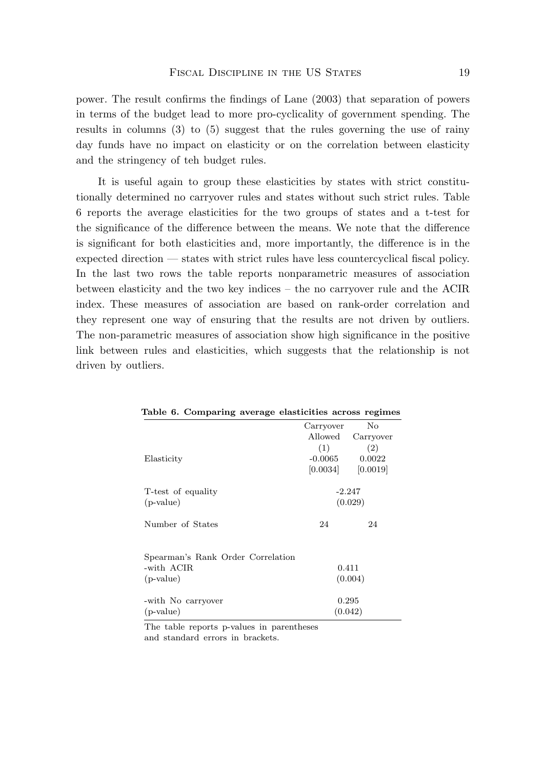power. The result confirms the findings of Lane (2003) that separation of powers in terms of the budget lead to more pro-cyclicality of government spending. The results in columns (3) to (5) suggest that the rules governing the use of rainy day funds have no impact on elasticity or on the correlation between elasticity and the stringency of teh budget rules.

It is useful again to group these elasticities by states with strict constitutionally determined no carryover rules and states without such strict rules. Table 6 reports the average elasticities for the two groups of states and a t-test for the significance of the difference between the means. We note that the difference is significant for both elasticities and, more importantly, the difference is in the expected direction — states with strict rules have less countercyclical fiscal policy. In the last two rows the table reports nonparametric measures of association between elasticity and the two key indices – the no carryover rule and the ACIR index. These measures of association are based on rank-order correlation and they represent one way of ensuring that the results are not driven by outliers. The non-parametric measures of association show high significance in the positive link between rules and elasticities, which suggests that the relationship is not driven by outliers.

|                                   | Carryover | No        |  |  |  |
|-----------------------------------|-----------|-----------|--|--|--|
|                                   | Allowed   | Carryover |  |  |  |
|                                   | (1)       | (2)       |  |  |  |
| Elasticity                        | $-0.0065$ | 0.0022    |  |  |  |
|                                   | [0.0034]  | [0.0019]  |  |  |  |
| T-test of equality                |           | $-2.247$  |  |  |  |
| $(p-value)$                       |           | (0.029)   |  |  |  |
|                                   |           |           |  |  |  |
| Number of States                  | 24        | 24        |  |  |  |
|                                   |           |           |  |  |  |
| Spearman's Rank Order Correlation |           |           |  |  |  |
| -with ACIR                        |           | 0.411     |  |  |  |
| $(p-value)$                       |           | (0.004)   |  |  |  |
|                                   |           |           |  |  |  |
| -with No carryover                |           | 0.295     |  |  |  |
| $(p-value)$                       |           | (0.042)   |  |  |  |

Table 6. Comparing average elasticities across regimes

The table reports p-values in parentheses and standard errors in brackets.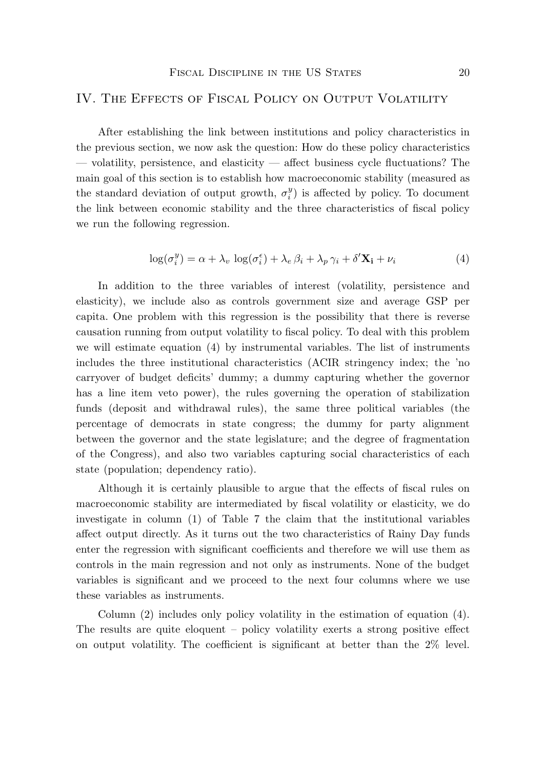# IV. THE EFFECTS OF FISCAL POLICY ON OUTPUT VOLATILITY

After establishing the link between institutions and policy characteristics in the previous section, we now ask the question: How do these policy characteristics — volatility, persistence, and elasticity — affect business cycle fluctuations? The main goal of this section is to establish how macroeconomic stability (measured as the standard deviation of output growth,  $\sigma_i^y$  $\binom{y}{i}$  is affected by policy. To document the link between economic stability and the three characteristics of fiscal policy we run the following regression.

$$
\log(\sigma_i^y) = \alpha + \lambda_v \log(\sigma_i^{\epsilon}) + \lambda_e \beta_i + \lambda_p \gamma_i + \delta' \mathbf{X_i} + \nu_i
$$
 (4)

In addition to the three variables of interest (volatility, persistence and elasticity), we include also as controls government size and average GSP per capita. One problem with this regression is the possibility that there is reverse causation running from output volatility to fiscal policy. To deal with this problem we will estimate equation (4) by instrumental variables. The list of instruments includes the three institutional characteristics (ACIR stringency index; the 'no carryover of budget deficits' dummy; a dummy capturing whether the governor has a line item veto power), the rules governing the operation of stabilization funds (deposit and withdrawal rules), the same three political variables (the percentage of democrats in state congress; the dummy for party alignment between the governor and the state legislature; and the degree of fragmentation of the Congress), and also two variables capturing social characteristics of each state (population; dependency ratio).

Although it is certainly plausible to argue that the effects of fiscal rules on macroeconomic stability are intermediated by fiscal volatility or elasticity, we do investigate in column (1) of Table 7 the claim that the institutional variables affect output directly. As it turns out the two characteristics of Rainy Day funds enter the regression with significant coefficients and therefore we will use them as controls in the main regression and not only as instruments. None of the budget variables is significant and we proceed to the next four columns where we use these variables as instruments.

Column (2) includes only policy volatility in the estimation of equation (4). The results are quite eloquent – policy volatility exerts a strong positive effect on output volatility. The coefficient is significant at better than the 2% level.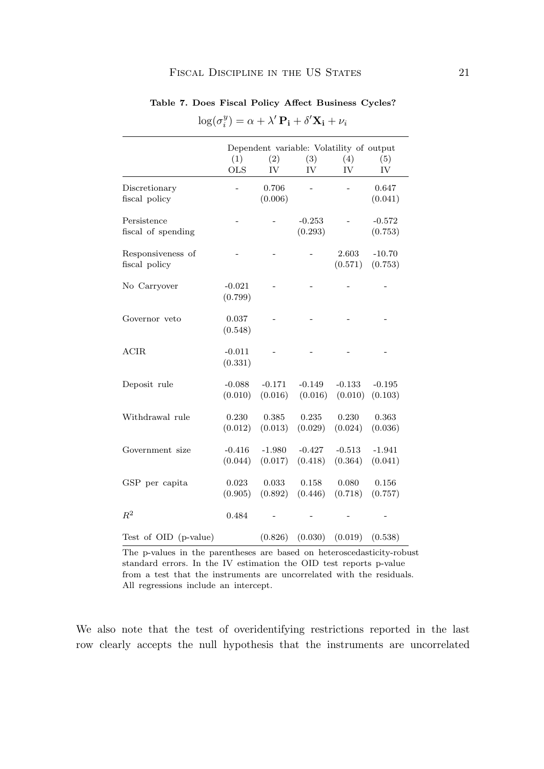|  |  |  |  |  | Table 7. Does Fiscal Policy Affect Business Cycles? |  |
|--|--|--|--|--|-----------------------------------------------------|--|
|--|--|--|--|--|-----------------------------------------------------|--|

|                       | Dependent variable: Volatility of output |          |          |          |          |  |  |
|-----------------------|------------------------------------------|----------|----------|----------|----------|--|--|
|                       | (1)<br>(2)<br>(3)<br>(4)<br>(5)          |          |          |          |          |  |  |
|                       | <b>OLS</b>                               | IV       | IV       | IV       | IV       |  |  |
| Discretionary         |                                          | 0.706    |          |          | 0.647    |  |  |
| fiscal policy         |                                          | (0.006)  |          |          | (0.041)  |  |  |
| Persistence           |                                          |          | $-0.253$ |          | $-0.572$ |  |  |
| fiscal of spending    |                                          |          | (0.293)  |          | (0.753)  |  |  |
| Responsiveness of     |                                          |          |          | 2.603    | $-10.70$ |  |  |
| fiscal policy         |                                          |          |          | (0.571)  | (0.753)  |  |  |
| No Carryover          | $-0.021$                                 |          |          |          |          |  |  |
|                       | (0.799)                                  |          |          |          |          |  |  |
| Governor veto         | 0.037                                    |          |          |          |          |  |  |
|                       | (0.548)                                  |          |          |          |          |  |  |
| <b>ACIR</b>           | $-0.011$                                 |          |          |          |          |  |  |
|                       | (0.331)                                  |          |          |          |          |  |  |
| Deposit rule          | $-0.088$                                 | $-0.171$ | $-0.149$ | $-0.133$ | $-0.195$ |  |  |
|                       | (0.010)                                  | (0.016)  | (0.016)  | (0.010)  | (0.103)  |  |  |
| Withdrawal rule       | 0.230                                    | 0.385    | 0.235    | 0.230    | 0.363    |  |  |
|                       | (0.012)                                  | (0.013)  | (0.029)  | (0.024)  | (0.036)  |  |  |
| Government size       | $-0.416$                                 | $-1.980$ | $-0.427$ | $-0.513$ | $-1.941$ |  |  |
|                       | (0.044)                                  | (0.017)  | (0.418)  | (0.364)  | (0.041)  |  |  |
| GSP per capita        | 0.023                                    | 0.033    | 0.158    | 0.080    | 0.156    |  |  |
|                       | (0.905)                                  | (0.892)  | (0.446)  | (0.718)  | (0.757)  |  |  |
| $R^2$                 | 0.484                                    |          |          |          |          |  |  |
| Test of OID (p-value) |                                          | (0.826)  | (0.030)  | (0.019)  | (0.538)  |  |  |

 $\log(\sigma_i^y)$  $\lambda_i^y$ ) =  $\alpha + \lambda' \mathbf{P_i} + \delta' \mathbf{X_i} + \nu_i$ 

The p-values in the parentheses are based on heteroscedasticity-robust standard errors. In the IV estimation the OID test reports p-value from a test that the instruments are uncorrelated with the residuals. All regressions include an intercept.

We also note that the test of overidentifying restrictions reported in the last row clearly accepts the null hypothesis that the instruments are uncorrelated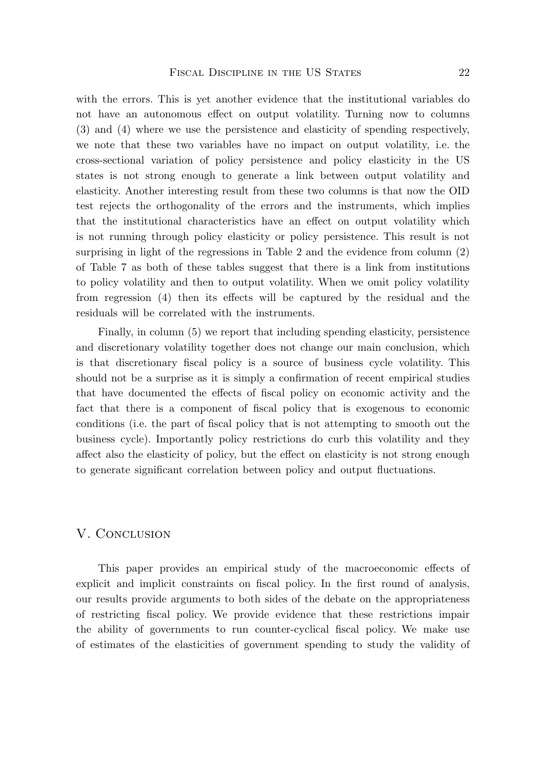with the errors. This is yet another evidence that the institutional variables do not have an autonomous effect on output volatility. Turning now to columns (3) and (4) where we use the persistence and elasticity of spending respectively, we note that these two variables have no impact on output volatility, i.e. the cross-sectional variation of policy persistence and policy elasticity in the US states is not strong enough to generate a link between output volatility and elasticity. Another interesting result from these two columns is that now the OID test rejects the orthogonality of the errors and the instruments, which implies that the institutional characteristics have an effect on output volatility which is not running through policy elasticity or policy persistence. This result is not surprising in light of the regressions in Table 2 and the evidence from column (2) of Table 7 as both of these tables suggest that there is a link from institutions to policy volatility and then to output volatility. When we omit policy volatility from regression (4) then its effects will be captured by the residual and the residuals will be correlated with the instruments.

Finally, in column (5) we report that including spending elasticity, persistence and discretionary volatility together does not change our main conclusion, which is that discretionary fiscal policy is a source of business cycle volatility. This should not be a surprise as it is simply a confirmation of recent empirical studies that have documented the effects of fiscal policy on economic activity and the fact that there is a component of fiscal policy that is exogenous to economic conditions (i.e. the part of fiscal policy that is not attempting to smooth out the business cycle). Importantly policy restrictions do curb this volatility and they affect also the elasticity of policy, but the effect on elasticity is not strong enough to generate significant correlation between policy and output fluctuations.

# V. CONCLUSION

This paper provides an empirical study of the macroeconomic effects of explicit and implicit constraints on fiscal policy. In the first round of analysis, our results provide arguments to both sides of the debate on the appropriateness of restricting fiscal policy. We provide evidence that these restrictions impair the ability of governments to run counter-cyclical fiscal policy. We make use of estimates of the elasticities of government spending to study the validity of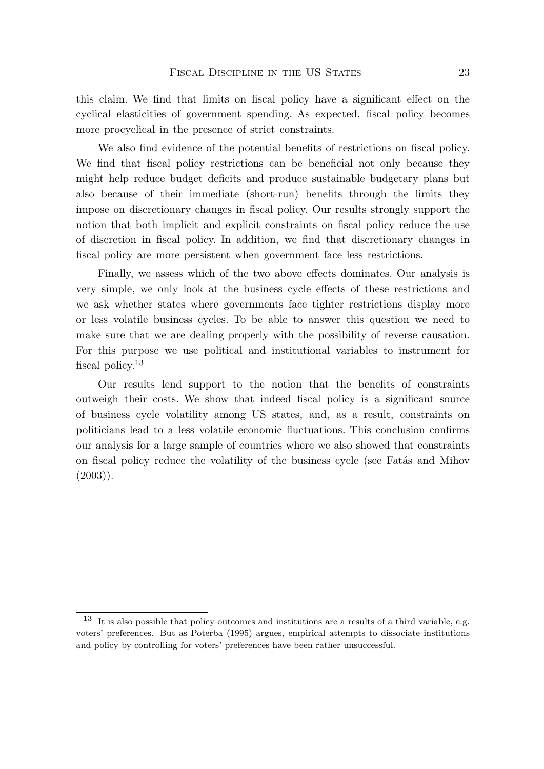this claim. We find that limits on fiscal policy have a significant effect on the cyclical elasticities of government spending. As expected, fiscal policy becomes more procyclical in the presence of strict constraints.

We also find evidence of the potential benefits of restrictions on fiscal policy. We find that fiscal policy restrictions can be beneficial not only because they might help reduce budget deficits and produce sustainable budgetary plans but also because of their immediate (short-run) benefits through the limits they impose on discretionary changes in fiscal policy. Our results strongly support the notion that both implicit and explicit constraints on fiscal policy reduce the use of discretion in fiscal policy. In addition, we find that discretionary changes in fiscal policy are more persistent when government face less restrictions.

Finally, we assess which of the two above effects dominates. Our analysis is very simple, we only look at the business cycle effects of these restrictions and we ask whether states where governments face tighter restrictions display more or less volatile business cycles. To be able to answer this question we need to make sure that we are dealing properly with the possibility of reverse causation. For this purpose we use political and institutional variables to instrument for fiscal policy.<sup>13</sup>

Our results lend support to the notion that the benefits of constraints outweigh their costs. We show that indeed fiscal policy is a significant source of business cycle volatility among US states, and, as a result, constraints on politicians lead to a less volatile economic fluctuations. This conclusion confirms our analysis for a large sample of countries where we also showed that constraints on fiscal policy reduce the volatility of the business cycle (see Fata's and Mihov  $(2003)$ ).

 $13$  It is also possible that policy outcomes and institutions are a results of a third variable, e.g. voters' preferences. But as Poterba (1995) argues, empirical attempts to dissociate institutions and policy by controlling for voters' preferences have been rather unsuccessful.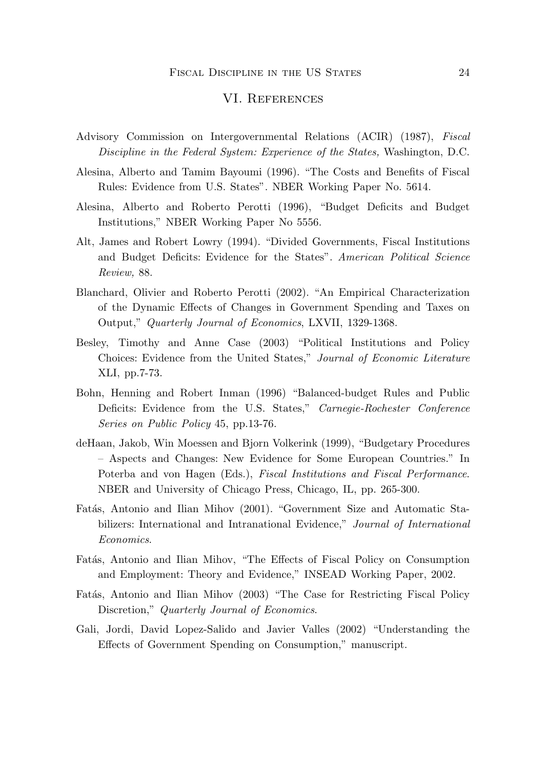## VI. References

- Advisory Commission on Intergovernmental Relations (ACIR) (1987), Fiscal Discipline in the Federal System: Experience of the States, Washington, D.C.
- Alesina, Alberto and Tamim Bayoumi (1996). "The Costs and Benefits of Fiscal Rules: Evidence from U.S. States". NBER Working Paper No. 5614.
- Alesina, Alberto and Roberto Perotti (1996), "Budget Deficits and Budget Institutions," NBER Working Paper No 5556.
- Alt, James and Robert Lowry (1994). "Divided Governments, Fiscal Institutions and Budget Deficits: Evidence for the States". American Political Science Review, 88.
- Blanchard, Olivier and Roberto Perotti (2002). "An Empirical Characterization of the Dynamic Effects of Changes in Government Spending and Taxes on Output," Quarterly Journal of Economics, LXVII, 1329-1368.
- Besley, Timothy and Anne Case (2003) "Political Institutions and Policy Choices: Evidence from the United States," Journal of Economic Literature XLI, pp.7-73.
- Bohn, Henning and Robert Inman (1996) "Balanced-budget Rules and Public Deficits: Evidence from the U.S. States," Carnegie-Rochester Conference Series on Public Policy 45, pp.13-76.
- deHaan, Jakob, Win Moessen and Bjorn Volkerink (1999), "Budgetary Procedures – Aspects and Changes: New Evidence for Some European Countries." In Poterba and von Hagen (Eds.), Fiscal Institutions and Fiscal Performance. NBER and University of Chicago Press, Chicago, IL, pp. 265-300.
- Fatás, Antonio and Ilian Mihov (2001). "Government Size and Automatic Stabilizers: International and Intranational Evidence," Journal of International Economics.
- Fatás, Antonio and Ilian Mihov, "The Effects of Fiscal Policy on Consumption and Employment: Theory and Evidence," INSEAD Working Paper, 2002.
- Fatás, Antonio and Ilian Mihov (2003) "The Case for Restricting Fiscal Policy Discretion," Quarterly Journal of Economics.
- Gali, Jordi, David Lopez-Salido and Javier Valles (2002) "Understanding the Effects of Government Spending on Consumption," manuscript.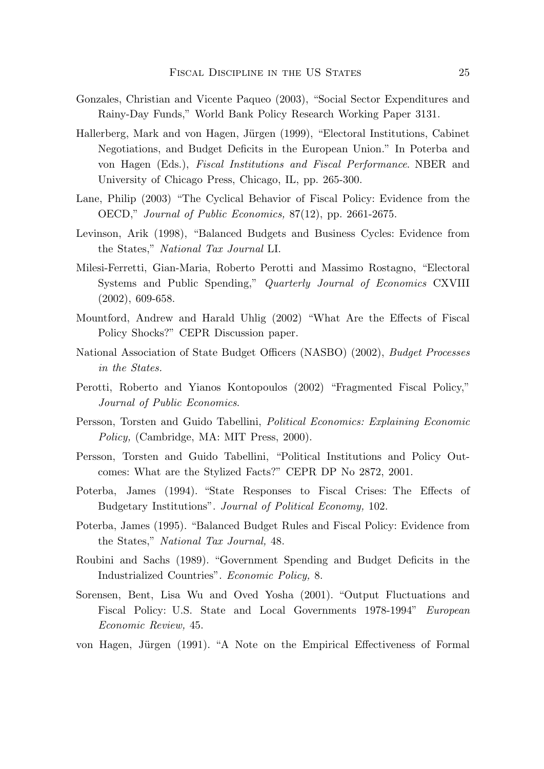- Gonzales, Christian and Vicente Paqueo (2003), "Social Sector Expenditures and Rainy-Day Funds," World Bank Policy Research Working Paper 3131.
- Hallerberg, Mark and von Hagen, Jürgen (1999), "Electoral Institutions, Cabinet Negotiations, and Budget Deficits in the European Union." In Poterba and von Hagen (Eds.), Fiscal Institutions and Fiscal Performance. NBER and University of Chicago Press, Chicago, IL, pp. 265-300.
- Lane, Philip (2003) "The Cyclical Behavior of Fiscal Policy: Evidence from the OECD," Journal of Public Economics, 87(12), pp. 2661-2675.
- Levinson, Arik (1998), "Balanced Budgets and Business Cycles: Evidence from the States," National Tax Journal LI.
- Milesi-Ferretti, Gian-Maria, Roberto Perotti and Massimo Rostagno, "Electoral Systems and Public Spending," Quarterly Journal of Economics CXVIII (2002), 609-658.
- Mountford, Andrew and Harald Uhlig (2002) "What Are the Effects of Fiscal Policy Shocks?" CEPR Discussion paper.
- National Association of State Budget Officers (NASBO) (2002), Budget Processes in the States.
- Perotti, Roberto and Yianos Kontopoulos (2002) "Fragmented Fiscal Policy," Journal of Public Economics.
- Persson, Torsten and Guido Tabellini, Political Economics: Explaining Economic Policy, (Cambridge, MA: MIT Press, 2000).
- Persson, Torsten and Guido Tabellini, "Political Institutions and Policy Outcomes: What are the Stylized Facts?" CEPR DP No 2872, 2001.
- Poterba, James (1994). "State Responses to Fiscal Crises: The Effects of Budgetary Institutions". Journal of Political Economy, 102.
- Poterba, James (1995). "Balanced Budget Rules and Fiscal Policy: Evidence from the States," National Tax Journal, 48.
- Roubini and Sachs (1989). "Government Spending and Budget Deficits in the Industrialized Countries". Economic Policy, 8.
- Sorensen, Bent, Lisa Wu and Oved Yosha (2001). "Output Fluctuations and Fiscal Policy: U.S. State and Local Governments 1978-1994" European Economic Review, 45.
- von Hagen, Jürgen (1991). "A Note on the Empirical Effectiveness of Formal